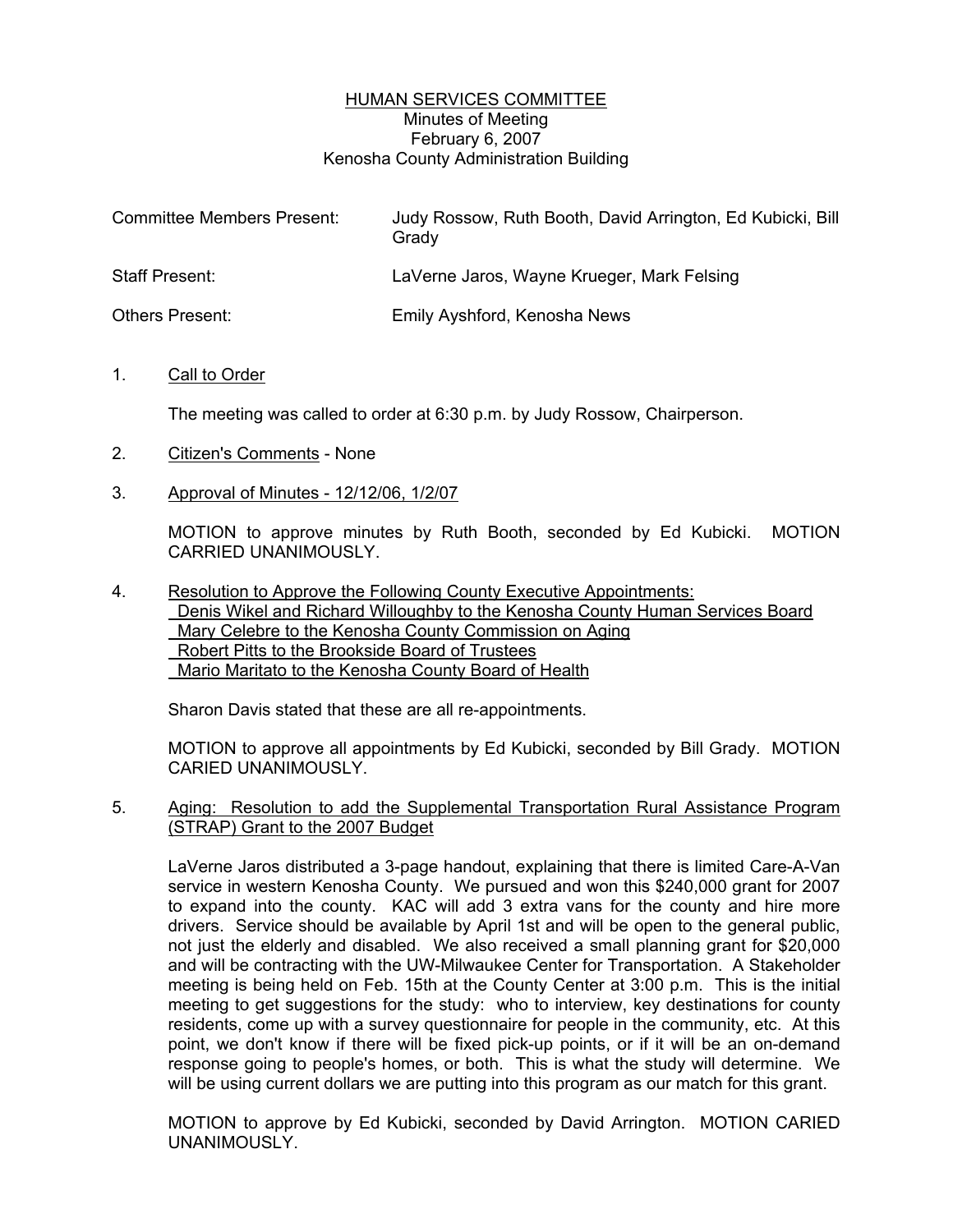### HUMAN SERVICES COMMITTEE Minutes of Meeting February 6, 2007 Kenosha County Administration Building

| <b>Committee Members Present:</b> | Judy Rossow, Ruth Booth, David Arrington, Ed Kubicki, Bill<br>Grady |
|-----------------------------------|---------------------------------------------------------------------|
| <b>Staff Present:</b>             | LaVerne Jaros, Wayne Krueger, Mark Felsing                          |
| <b>Others Present:</b>            | Emily Ayshford, Kenosha News                                        |

#### 1. Call to Order

The meeting was called to order at 6:30 p.m. by Judy Rossow, Chairperson.

- 2. Citizen's Comments None
- 3. Approval of Minutes 12/12/06, 1/2/07

MOTION to approve minutes by Ruth Booth, seconded by Ed Kubicki. MOTION CARRIED UNANIMOUSLY.

4. Resolution to Approve the Following County Executive Appointments: Denis Wikel and Richard Willoughby to the Kenosha County Human Services Board Mary Celebre to the Kenosha County Commission on Aging Robert Pitts to the Brookside Board of Trustees Mario Maritato to the Kenosha County Board of Health

Sharon Davis stated that these are all re-appointments.

MOTION to approve all appointments by Ed Kubicki, seconded by Bill Grady. MOTION CARIED UNANIMOUSLY.

5. Aging: Resolution to add the Supplemental Transportation Rural Assistance Program (STRAP) Grant to the 2007 Budget

LaVerne Jaros distributed a 3-page handout, explaining that there is limited Care-A-Van service in western Kenosha County. We pursued and won this \$240,000 grant for 2007 to expand into the county. KAC will add 3 extra vans for the county and hire more drivers. Service should be available by April 1st and will be open to the general public, not just the elderly and disabled. We also received a small planning grant for \$20,000 and will be contracting with the UW-Milwaukee Center for Transportation. A Stakeholder meeting is being held on Feb. 15th at the County Center at 3:00 p.m. This is the initial meeting to get suggestions for the study: who to interview, key destinations for county residents, come up with a survey questionnaire for people in the community, etc. At this point, we don't know if there will be fixed pick-up points, or if it will be an on-demand response going to people's homes, or both. This is what the study will determine. We will be using current dollars we are putting into this program as our match for this grant.

MOTION to approve by Ed Kubicki, seconded by David Arrington. MOTION CARIED UNANIMOUSLY.